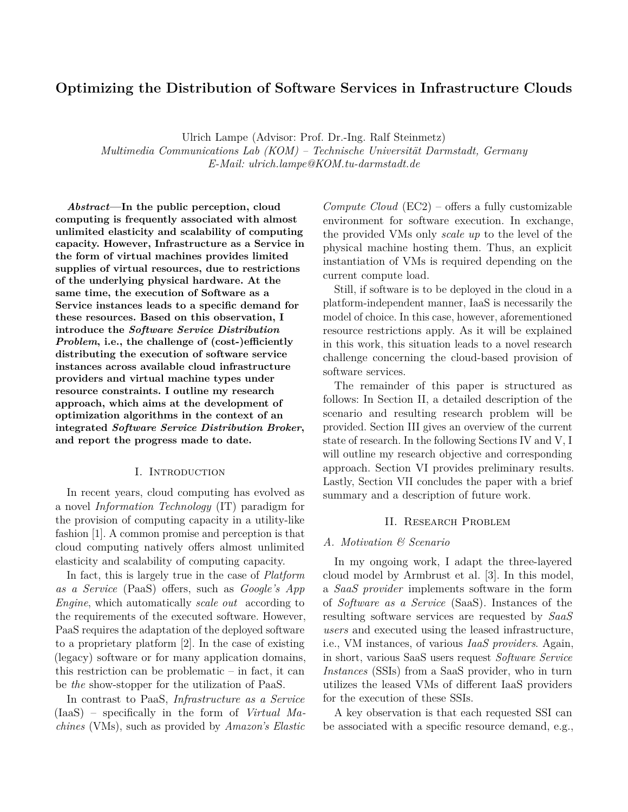# **Optimizing the Distribution of Software Services in Infrastructure Clouds**

Ulrich Lampe (Advisor: Prof. Dr.-Ing. Ralf Steinmetz) *Multimedia Communications Lab (KOM) – Technische Universität Darmstadt, Germany E-Mail: ulrich.lampe@KOM.tu-darmstadt.de*

*Abstract***—In the public perception, cloud computing is frequently associated with almost unlimited elasticity and scalability of computing capacity. However, Infrastructure as a Service in the form of virtual machines provides limited supplies of virtual resources, due to restrictions of the underlying physical hardware. At the same time, the execution of Software as a Service instances leads to a specific demand for these resources. Based on this observation, I introduce the** *Software Service Distribution Problem***, i.e., the challenge of (cost-)efficiently distributing the execution of software service instances across available cloud infrastructure providers and virtual machine types under resource constraints. I outline my research approach, which aims at the development of optimization algorithms in the context of an integrated** *Software Service Distribution Broker***, and report the progress made to date.**

### I. INTRODUCTION

In recent years, cloud computing has evolved as a novel *Information Technology* (IT) paradigm for the provision of computing capacity in a utility-like fashion [1]. A common promise and perception is that cloud computing natively offers almost unlimited elasticity and scalability of computing capacity.

In fact, this is largely true in the case of *Platform as a Service* (PaaS) offers, such as *Google's App Engine*, which automatically *scale out* according to the requirements of the executed software. However, PaaS requires the adaptation of the deployed software to a proprietary platform [2]. In the case of existing (legacy) software or for many application domains, this restriction can be problematic – in fact, it can be *the* show-stopper for the utilization of PaaS.

In contrast to PaaS, *Infrastructure as a Service* (IaaS) – specifically in the form of *Virtual Machines* (VMs), such as provided by *Amazon's Elastic* *Compute Cloud* (EC2) – offers a fully customizable environment for software execution. In exchange, the provided VMs only *scale up* to the level of the physical machine hosting them. Thus, an explicit instantiation of VMs is required depending on the current compute load.

Still, if software is to be deployed in the cloud in a platform-independent manner, IaaS is necessarily the model of choice. In this case, however, aforementioned resource restrictions apply. As it will be explained in this work, this situation leads to a novel research challenge concerning the cloud-based provision of software services.

The remainder of this paper is structured as follows: In Section II, a detailed description of the scenario and resulting research problem will be provided. Section III gives an overview of the current state of research. In the following Sections IV and V, I will outline my research objective and corresponding approach. Section VI provides preliminary results. Lastly, Section VII concludes the paper with a brief summary and a description of future work.

#### II. Research Problem

#### *A. Motivation & Scenario*

In my ongoing work, I adapt the three-layered cloud model by Armbrust et al. [3]. In this model, a *SaaS provider* implements software in the form of *Software as a Service* (SaaS). Instances of the resulting software services are requested by *SaaS users* and executed using the leased infrastructure, i.e., VM instances, of various *IaaS providers*. Again, in short, various SaaS users request *Software Service Instances* (SSIs) from a SaaS provider, who in turn utilizes the leased VMs of different IaaS providers for the execution of these SSIs.

A key observation is that each requested SSI can be associated with a specific resource demand, e.g.,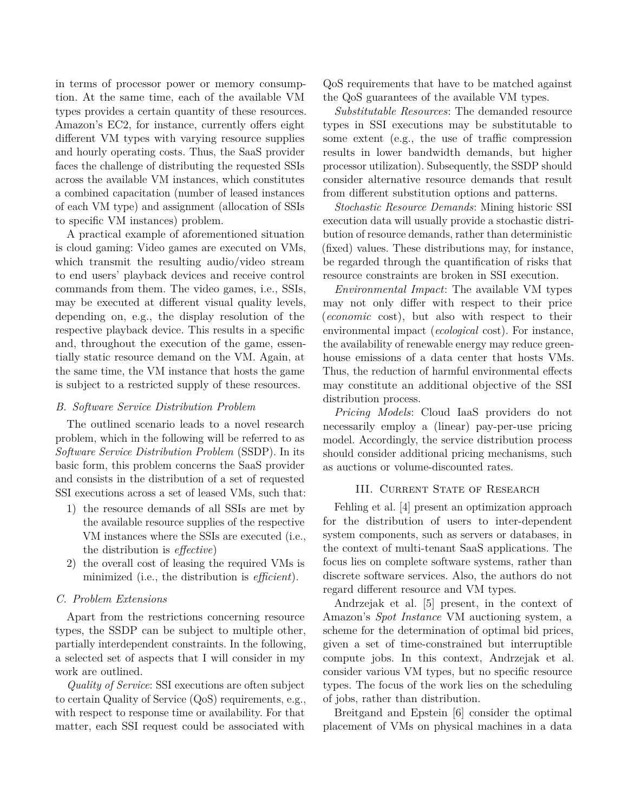in terms of processor power or memory consumption. At the same time, each of the available VM types provides a certain quantity of these resources. Amazon's EC2, for instance, currently offers eight different VM types with varying resource supplies and hourly operating costs. Thus, the SaaS provider faces the challenge of distributing the requested SSIs across the available VM instances, which constitutes a combined capacitation (number of leased instances of each VM type) and assignment (allocation of SSIs to specific VM instances) problem.

A practical example of aforementioned situation is cloud gaming: Video games are executed on VMs, which transmit the resulting audio/video stream to end users' playback devices and receive control commands from them. The video games, i.e., SSIs, may be executed at different visual quality levels, depending on, e.g., the display resolution of the respective playback device. This results in a specific and, throughout the execution of the game, essentially static resource demand on the VM. Again, at the same time, the VM instance that hosts the game is subject to a restricted supply of these resources.

### *B. Software Service Distribution Problem*

The outlined scenario leads to a novel research problem, which in the following will be referred to as *Software Service Distribution Problem* (SSDP). In its basic form, this problem concerns the SaaS provider and consists in the distribution of a set of requested SSI executions across a set of leased VMs, such that:

- 1) the resource demands of all SSIs are met by the available resource supplies of the respective VM instances where the SSIs are executed (i.e., the distribution is *effective*)
- 2) the overall cost of leasing the required VMs is minimized (i.e., the distribution is *efficient*).

#### *C. Problem Extensions*

Apart from the restrictions concerning resource types, the SSDP can be subject to multiple other, partially interdependent constraints. In the following, a selected set of aspects that I will consider in my work are outlined.

*Quality of Service*: SSI executions are often subject to certain Quality of Service (QoS) requirements, e.g., with respect to response time or availability. For that matter, each SSI request could be associated with

QoS requirements that have to be matched against the QoS guarantees of the available VM types.

*Substitutable Resources*: The demanded resource types in SSI executions may be substitutable to some extent (e.g., the use of traffic compression results in lower bandwidth demands, but higher processor utilization). Subsequently, the SSDP should consider alternative resource demands that result from different substitution options and patterns.

*Stochastic Resource Demands*: Mining historic SSI execution data will usually provide a stochastic distribution of resource demands, rather than deterministic (fixed) values. These distributions may, for instance, be regarded through the quantification of risks that resource constraints are broken in SSI execution.

*Environmental Impact*: The available VM types may not only differ with respect to their price (*economic* cost), but also with respect to their environmental impact (*ecological* cost). For instance, the availability of renewable energy may reduce greenhouse emissions of a data center that hosts VMs. Thus, the reduction of harmful environmental effects may constitute an additional objective of the SSI distribution process.

*Pricing Models*: Cloud IaaS providers do not necessarily employ a (linear) pay-per-use pricing model. Accordingly, the service distribution process should consider additional pricing mechanisms, such as auctions or volume-discounted rates.

### III. CURRENT STATE OF RESEARCH

Fehling et al. [4] present an optimization approach for the distribution of users to inter-dependent system components, such as servers or databases, in the context of multi-tenant SaaS applications. The focus lies on complete software systems, rather than discrete software services. Also, the authors do not regard different resource and VM types.

Andrzejak et al. [5] present, in the context of Amazon's *Spot Instance* VM auctioning system, a scheme for the determination of optimal bid prices, given a set of time-constrained but interruptible compute jobs. In this context, Andrzejak et al. consider various VM types, but no specific resource types. The focus of the work lies on the scheduling of jobs, rather than distribution.

Breitgand and Epstein [6] consider the optimal placement of VMs on physical machines in a data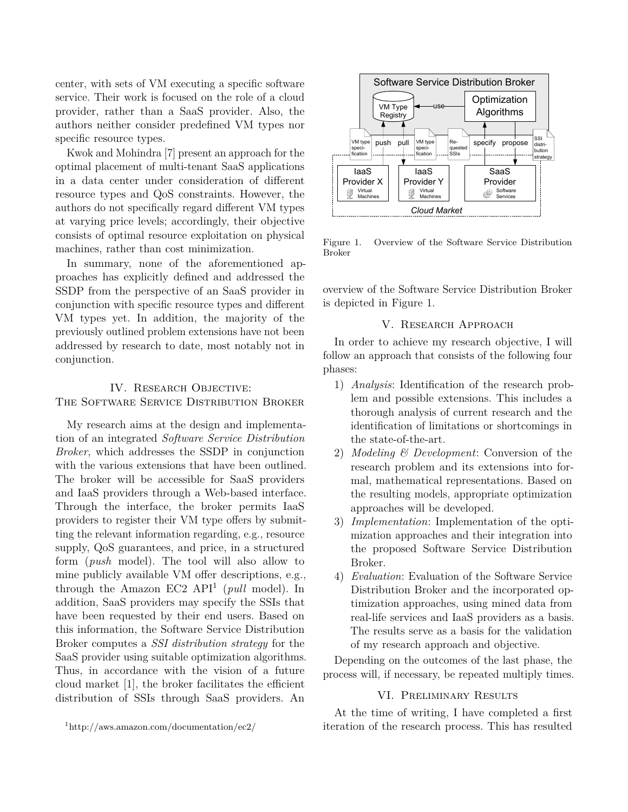center, with sets of VM executing a specific software service. Their work is focused on the role of a cloud provider, rather than a SaaS provider. Also, the authors neither consider predefined VM types nor specific resource types.

Kwok and Mohindra [7] present an approach for the optimal placement of multi-tenant SaaS applications in a data center under consideration of different resource types and QoS constraints. However, the authors do not specifically regard different VM types at varying price levels; accordingly, their objective consists of optimal resource exploitation on physical machines, rather than cost minimization.

In summary, none of the aforementioned approaches has explicitly defined and addressed the SSDP from the perspective of an SaaS provider in conjunction with specific resource types and different VM types yet. In addition, the majority of the previously outlined problem extensions have not been addressed by research to date, most notably not in conjunction.

## IV. Research Objective:

The Software Service Distribution Broker

My research aims at the design and implementation of an integrated *Software Service Distribution Broker*, which addresses the SSDP in conjunction with the various extensions that have been outlined. The broker will be accessible for SaaS providers and IaaS providers through a Web-based interface. Through the interface, the broker permits IaaS providers to register their VM type offers by submitting the relevant information regarding, e.g., resource supply, QoS guarantees, and price, in a structured form (*push* model). The tool will also allow to mine publicly available VM offer descriptions, e.g., through the Amazon EC2 API<sup>1</sup> (*pull* model). In addition, SaaS providers may specify the SSIs that have been requested by their end users. Based on this information, the Software Service Distribution Broker computes a *SSI distribution strategy* for the SaaS provider using suitable optimization algorithms. Thus, in accordance with the vision of a future cloud market [1], the broker facilitates the efficient distribution of SSIs through SaaS providers. An



Figure 1. Overview of the Software Service Distribution Broker

overview of the Software Service Distribution Broker is depicted in Figure 1.

#### V. RESEARCH APPROACH

In order to achieve my research objective, I will follow an approach that consists of the following four phases:

- 1) *Analysis*: Identification of the research problem and possible extensions. This includes a thorough analysis of current research and the identification of limitations or shortcomings in the state-of-the-art.
- 2) *Modeling & Development*: Conversion of the research problem and its extensions into formal, mathematical representations. Based on the resulting models, appropriate optimization approaches will be developed.
- 3) *Implementation*: Implementation of the optimization approaches and their integration into the proposed Software Service Distribution Broker.
- 4) *Evaluation*: Evaluation of the Software Service Distribution Broker and the incorporated optimization approaches, using mined data from real-life services and IaaS providers as a basis. The results serve as a basis for the validation of my research approach and objective.

Depending on the outcomes of the last phase, the process will, if necessary, be repeated multiply times.

#### VI. Preliminary Results

At the time of writing, I have completed a first iteration of the research process. This has resulted

<sup>1</sup>http://aws.amazon.com/documentation/ec2/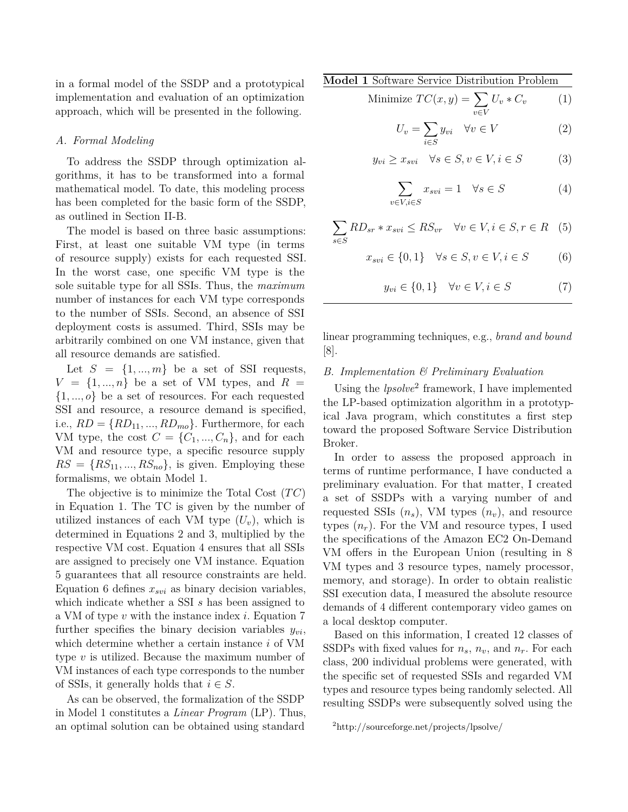in a formal model of the SSDP and a prototypical implementation and evaluation of an optimization approach, which will be presented in the following.

### *A. Formal Modeling*

To address the SSDP through optimization algorithms, it has to be transformed into a formal mathematical model. To date, this modeling process has been completed for the basic form of the SSDP, as outlined in Section II-B.

The model is based on three basic assumptions: First, at least one suitable VM type (in terms of resource supply) exists for each requested SSI. In the worst case, one specific VM type is the sole suitable type for all SSIs. Thus, the *maximum* number of instances for each VM type corresponds to the number of SSIs. Second, an absence of SSI deployment costs is assumed. Third, SSIs may be arbitrarily combined on one VM instance, given that all resource demands are satisfied.

Let  $S = \{1, ..., m\}$  be a set of SSI requests,  $V = \{1, ..., n\}$  be a set of VM types, and  $R =$ {1*, ..., o*} be a set of resources. For each requested SSI and resource, a resource demand is specified, i.e.,  $RD = \{RD_{11}, ..., RD_{mo}\}$ . Furthermore, for each VM type, the cost  $C = \{C_1, ..., C_n\}$ , and for each VM and resource type, a specific resource supply  $RS = \{RS_{11}, ..., RS_{no}\},$  is given. Employing these formalisms, we obtain Model 1.

The objective is to minimize the Total Cost (*T C*) in Equation 1. The TC is given by the number of utilized instances of each VM type  $(U_v)$ , which is determined in Equations 2 and 3, multiplied by the respective VM cost. Equation 4 ensures that all SSIs are assigned to precisely one VM instance. Equation 5 guarantees that all resource constraints are held. Equation 6 defines  $x_{svi}$  as binary decision variables, which indicate whether a SSI *s* has been assigned to a VM of type *v* with the instance index *i*. Equation 7 further specifies the binary decision variables  $y_{vi}$ , which determine whether a certain instance *i* of VM type *v* is utilized. Because the maximum number of VM instances of each type corresponds to the number of SSIs, it generally holds that  $i \in S$ .

As can be observed, the formalization of the SSDP in Model 1 constitutes a *Linear Program* (LP). Thus, an optimal solution can be obtained using standard **Model 1** Software Service Distribution Problem

Minimize 
$$
TC(x, y) = \sum_{v \in V} U_v * C_v
$$
 (1)

$$
U_v = \sum_{i \in S} y_{vi} \quad \forall v \in V \tag{2}
$$

$$
y_{vi} \ge x_{svi} \quad \forall s \in S, v \in V, i \in S \tag{3}
$$

$$
\sum_{v \in V, i \in S} x_{svi} = 1 \quad \forall s \in S \tag{4}
$$

$$
\sum_{s \in S} RD_{sr} * x_{svi} \le RS_{vr} \quad \forall v \in V, i \in S, r \in R \quad (5)
$$

$$
x_{svi} \in \{0, 1\} \quad \forall s \in S, v \in V, i \in S \tag{6}
$$

$$
y_{vi} \in \{0, 1\} \quad \forall v \in V, i \in S \tag{7}
$$

linear programming techniques, e.g., *brand and bound* [8].

## *B. Implementation & Preliminary Evaluation*

Using the *lpsolve*<sup>2</sup> framework, I have implemented the LP-based optimization algorithm in a prototypical Java program, which constitutes a first step toward the proposed Software Service Distribution Broker.

In order to assess the proposed approach in terms of runtime performance, I have conducted a preliminary evaluation. For that matter, I created a set of SSDPs with a varying number of and requested SSIs  $(n_s)$ , VM types  $(n_v)$ , and resource types  $(n_r)$ . For the VM and resource types, I used the specifications of the Amazon EC2 On-Demand VM offers in the European Union (resulting in 8 VM types and 3 resource types, namely processor, memory, and storage). In order to obtain realistic SSI execution data, I measured the absolute resource demands of 4 different contemporary video games on a local desktop computer.

Based on this information, I created 12 classes of SSDPs with fixed values for  $n_s$ ,  $n_v$ , and  $n_r$ . For each class, 200 individual problems were generated, with the specific set of requested SSIs and regarded VM types and resource types being randomly selected. All resulting SSDPs were subsequently solved using the

<sup>2</sup>http://sourceforge.net/projects/lpsolve/